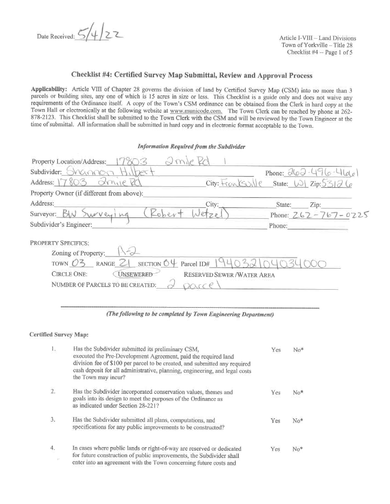Date Received: 5/4/22

Article I-VIII - Land Divisions Town of Yorkville - Title 28 Checklist  $#4$  - Page 1 of 5

### Checklist #4: Certified Survey Map Submittal, Review and Approval Process

Applicability: Article VIII of Chapter 28 governs the division of land by Certified Survey Map (CSM) into no more than 3 parcels or building sites, any one of which is 15 acres in size or less. This Checklist is a guide only and does not waive any requirements of the Ordinance itself. A copy of the Town's CSM ordinance can be obtained from the Clerk in hard copy at the Town Hall or electronically at the following website at www.municode.com. The Town Clerk can be reached by phone at 262-878-2123. This Checklist shall be submitted to the Town Clerk with the CSM and will be reviewed by the Town Engineer at the time of submittal. All information shall be submitted in hard copy and in electronic format acceptable to the Town.

### Information Required from the Subdivider

| Property Location/Address:                                                 |                                                 |
|----------------------------------------------------------------------------|-------------------------------------------------|
| Subdivider:                                                                | Phone: $262 - 496 - 4100$                       |
| drive<br>Address: 17803<br>City: Franks                                    | State: $W \cup L$ Zip: 531 $\partial$ $\varphi$ |
| Property Owner (if different from above):                                  |                                                 |
| Address:<br>City:                                                          | State:<br>Zip:                                  |
| Surveyor: BW<br>rurvey Ing                                                 | Phone: 262-767-0225                             |
| Subdivider's Engineer:                                                     | Phone:                                          |
| <b>PROPERTY SPECIFICS:</b>                                                 |                                                 |
| Zoning of Property:                                                        |                                                 |
| RANGE $Z$ SECTION $0 \downarrow$ Parcel ID#<br>TOWN $O3$                   |                                                 |
| <b>CIRCLE ONE:</b><br><b>UNSEWERED</b><br><b>RESERVED SEWER/WATER AREA</b> |                                                 |
| NUMBER OF PARCELS TO BE CREATED:                                           |                                                 |

#### (The following to be completed by Town Engineering Department)

### **Certified Survey Map:**

| Ι.               | Has the Subdivider submitted its preliminary CSM,<br>executed the Pre-Development Agreement, paid the required land<br>division fee of \$100 per parcel to be created, and submitted any required<br>cash deposit for all administrative, planning, engineering, and legal costs<br>the Town may incur? | Yes | $No*$ |
|------------------|---------------------------------------------------------------------------------------------------------------------------------------------------------------------------------------------------------------------------------------------------------------------------------------------------------|-----|-------|
| $\overline{2}$ . | Has the Subdivider incorporated conservation values, themes and<br>goals into its design to meet the purposes of the Ordinance as<br>as indicated under Section 28-221?                                                                                                                                 | Yes | No*   |
| 3.               | Has the Subdivider submitted all plans, computations, and<br>specifications for any public improvements to be constructed?                                                                                                                                                                              | Yes | No*   |
| 4,               | In cases where public lands or right-of-way are reserved or dedicated<br>for future construction of public improvements, the Subdivider shall<br>enter into an agreement with the Town concerning future costs and                                                                                      | Yes | No*   |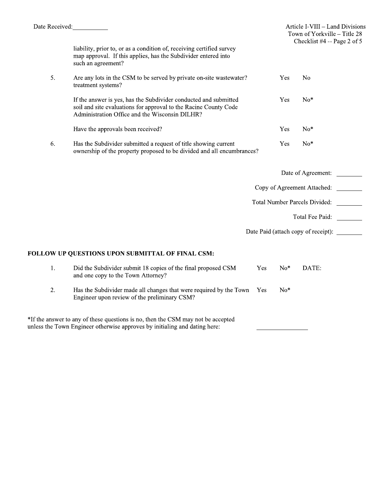Yes

 $No*$ 

liability, prior to, or as a condition of, receiving certified survey map approval. If this applies, has the Subdivider entered into such an agreement?

| 5. | Are any lots in the CSM to be served by private on-site was tewater?<br>treatment systems?                                                                                             | Yes        | No    |
|----|----------------------------------------------------------------------------------------------------------------------------------------------------------------------------------------|------------|-------|
|    | If the answer is yes, has the Subdivider conducted and submitted<br>soil and site evaluations for approval to the Racine County Code<br>Administration Office and the Wisconsin DILHR? | <b>Yes</b> | $No*$ |
|    | Have the approvals been received?                                                                                                                                                      | Yes        | No*   |

6. Has the Subdivider submitted a request of title showing current ownership of the property proposed to be divided and all encumbrances?

|    |                                                                                                     |            |       | Date of Agreement:                  |  |
|----|-----------------------------------------------------------------------------------------------------|------------|-------|-------------------------------------|--|
|    |                                                                                                     |            |       | Copy of Agreement Attached:         |  |
|    |                                                                                                     |            |       | Total Number Parcels Divided:       |  |
|    |                                                                                                     |            |       | Total Fee Paid:                     |  |
|    |                                                                                                     |            |       | Date Paid (attach copy of receipt): |  |
|    | FOLLOW UP QUESTIONS UPON SUBMITTAL OF FINAL CSM:                                                    |            |       |                                     |  |
| 1. | Did the Subdivider submit 18 copies of the final proposed CSM<br>and one copy to the Town Attorney? | <b>Yes</b> | $No*$ | DATE:                               |  |

Has the Subdivider made all changes that were required by the Town Yes 2.  $No*$ Engineer upon review of the preliminary CSM?

\*If the answer to any of these questions is no, then the CSM may not be accepted unless the Town Engineer otherwise approves by initialing and dating here: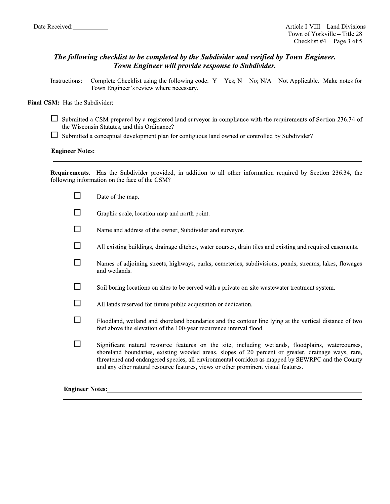# The following checklist to be completed by the Subdivider and verified by Town Engineer. Town Engineer will provide response to Subdivider.

Complete Checklist using the following code:  $Y - Yes$ ;  $N - No$ ;  $N/A - Not$  Applicable. Make notes for Instructions: Town Engineer's review where necessary.

### Final CSM: Has the Subdivider:

- $\Box$  Submitted a CSM prepared by a registered land surveyor in compliance with the requirements of Section 236.34 of the Wisconsin Statutes, and this Ordinance?
- $\Box$  Submitted a conceptual development plan for contiguous land owned or controlled by Subdivider?

### Engineer Notes:<br>
<u>Engineer Notes:</u>

Requirements. Has the Subdivider provided, in addition to all other information required by Section 236.34, the following information on the face of the CSM?

|                        | Date of the map.                                                                                                                                                                                                                                                                                                                                                                                   |
|------------------------|----------------------------------------------------------------------------------------------------------------------------------------------------------------------------------------------------------------------------------------------------------------------------------------------------------------------------------------------------------------------------------------------------|
|                        | Graphic scale, location map and north point.                                                                                                                                                                                                                                                                                                                                                       |
|                        | Name and address of the owner, Subdivider and surveyor.                                                                                                                                                                                                                                                                                                                                            |
|                        | All existing buildings, drainage ditches, water courses, drain tiles and existing and required easements.                                                                                                                                                                                                                                                                                          |
|                        | Names of adjoining streets, highways, parks, cemeteries, subdivisions, ponds, streams, lakes, flowages<br>and wetlands.                                                                                                                                                                                                                                                                            |
|                        | Soil boring locations on sites to be served with a private on-site wastewater treatment system.                                                                                                                                                                                                                                                                                                    |
|                        | All lands reserved for future public acquisition or dedication.                                                                                                                                                                                                                                                                                                                                    |
|                        | Floodland, wetland and shoreland boundaries and the contour line lying at the vertical distance of two<br>feet above the elevation of the 100-year recurrence interval flood.                                                                                                                                                                                                                      |
|                        | Significant natural resource features on the site, including wetlands, floodplains, watercourses,<br>shoreland boundaries, existing wooded areas, slopes of 20 percent or greater, drainage ways, rare,<br>threatened and endangered species, all environmental corridors as mapped by SEWRPC and the County<br>and any other natural resource features, views or other prominent visual features. |
| <b>Engineer Notes:</b> |                                                                                                                                                                                                                                                                                                                                                                                                    |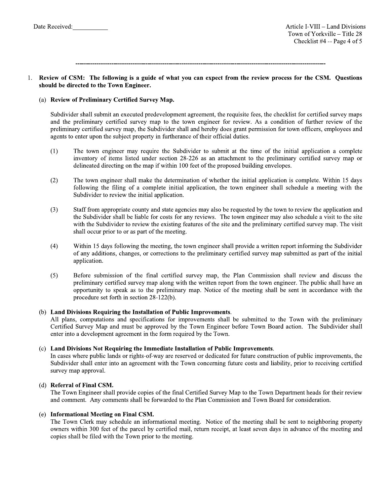1111111111111111111111111111111111111111111111111111111111111111111111111111111111111111111111111111111111111111111111

### 1. Review of CSM: The following is a guide of what you can expect from the review process for the CSM. Questions should be directed to the Town Engineer.

# (a) Review of Preliminary Certified Survey Map.

Subdivider shall submit an executed predevelopment agreement, the requisite fees, the checklist for certified survey maps and the preliminary certified survey map to the town engineer for review. As a condition of further review of the preliminary certified survey map, the Subdivider shall and hereby does grant permission for town officers, employees and agents to enter upon the subject property in furtherance of their official duties.

- (1) The town engineer may require the Subdivider to submit at the time of the initial application a complete inventory of items listed under section 28-226 as an attachment to the preliminary certified survey map or defineated directing on the map if within  $100$  feet of the proposed building envelopes.
- (2) In town engineer shall make the determination of whether the initial application is complete. Within 15 days following the filing of a complete initial application, the town engineer shall schedule a meeting with the Subdivider to review the initial application.
- $(3)$  Staff from appropriate county and state agencies may also be requested by the town to review the application and the Subdivider shall be hable for costs for any reviews. The town engineer may also schedule a visit to the site with the Subdivider to review the existing features of the site and the preliminary certified survey map. The visit shall occur prior to or as part of the meeting.
- (4) Within 15 days following the meeting, the town engineer shall provide a written report informing the Subdivider of any additions, changes, or corrections to the preliminary certified survey map submitted as part of the initial application.
- (5) Before submission of the final certified survey map, the Plan Commission shall review and discuss the preliminary certified survey map along with the written report from the town engineer. The public shall have an opportunity to speak as to the preliminary map. Notice of the meeting shall be sent in accordance with the procedure set forth in section  $28-122(b)$ .

### (b) Land Divisions Requiring the Installation of Public Improvements.

All plans, computations and specifications for improvements shall be submitted to the Town with the preliminary Certified Survey Map and must be approved by the Town Engineer before Town Board action. The Subdivider shall enter into a development agreement in the form required by the Town.

### (c) Land Divisions Not Requiring the Immediate Installation of Public Improvements.

In cases where public lands or rights-of-way are reserved or dedicated for future construction of public improvements, the Subdivider shall enter into an agreement with the Town concerning future costs and liability, prior to receiving certified survey map approval.

# (d) Referral of Final CSM.

The Town Engineer shall provide copies of the final Certified Survey Map to the Town Department heads for their review and comment. Any comments shall be forwarded to the Plan Commission and Town Board for consideration.

### $(e)$  Informational Meeting on Final CSM.

The Town Clerk may schedule an informational meeting. Notice of the meeting shall be sent to neighboring property owners within 300 feet of the parcel by certified mail, return receipt, at least seven days in advance of the meeting and copies shall be filed with the Town prior to the meeting.